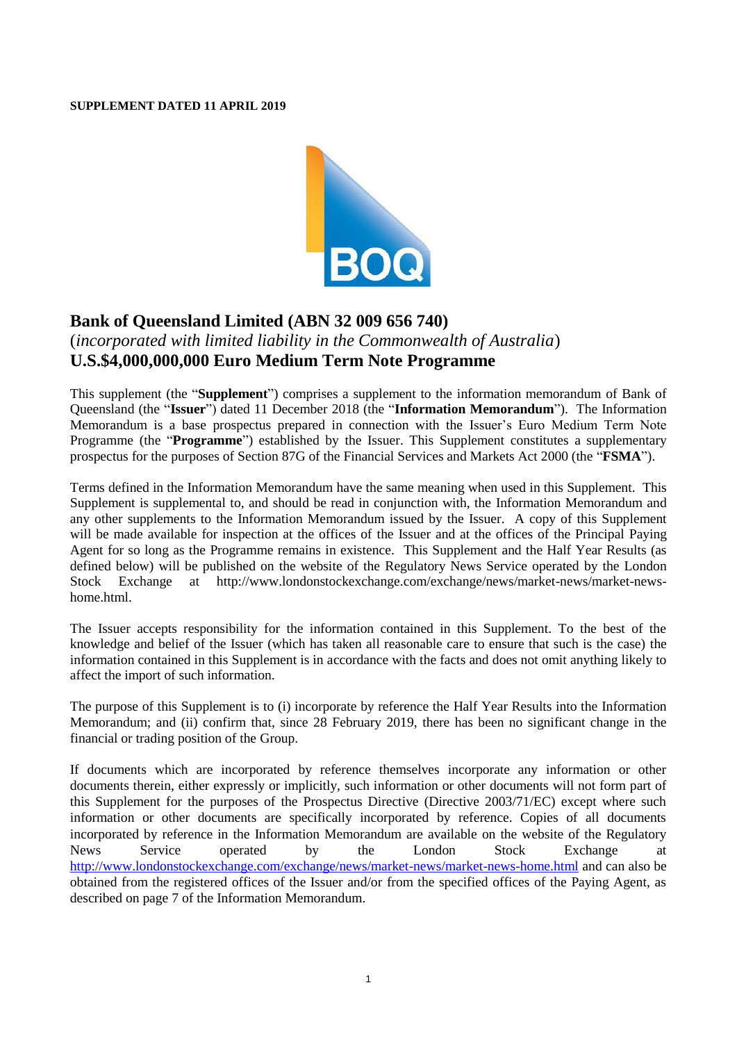#### **SUPPLEMENT DATED 11 APRIL 2019**



# **Bank of Queensland Limited (ABN 32 009 656 740)**

## (*incorporated with limited liability in the Commonwealth of Australia*) **U.S.\$4,000,000,000 Euro Medium Term Note Programme**

This supplement (the "**Supplement**") comprises a supplement to the information memorandum of Bank of Queensland (the "**Issuer**") dated 11 December 2018 (the "**Information Memorandum**"). The Information Memorandum is a base prospectus prepared in connection with the Issuer's Euro Medium Term Note Programme (the "**Programme**") established by the Issuer. This Supplement constitutes a supplementary prospectus for the purposes of Section 87G of the Financial Services and Markets Act 2000 (the "**FSMA**").

Terms defined in the Information Memorandum have the same meaning when used in this Supplement. This Supplement is supplemental to, and should be read in conjunction with, the Information Memorandum and any other supplements to the Information Memorandum issued by the Issuer. A copy of this Supplement will be made available for inspection at the offices of the Issuer and at the offices of the Principal Paying Agent for so long as the Programme remains in existence. This Supplement and the Half Year Results (as defined below) will be published on the website of the Regulatory News Service operated by the London Stock Exchange at [http://www.londonstockexchange.com/exchange/news/market-news/market-news](http://www.londonstockexchange.com/exchange/news/market-news/market-news-home.html)[home.html.](http://www.londonstockexchange.com/exchange/news/market-news/market-news-home.html)

The Issuer accepts responsibility for the information contained in this Supplement. To the best of the knowledge and belief of the Issuer (which has taken all reasonable care to ensure that such is the case) the information contained in this Supplement is in accordance with the facts and does not omit anything likely to affect the import of such information.

The purpose of this Supplement is to (i) incorporate by reference the Half Year Results into the Information Memorandum; and (ii) confirm that, since 28 February 2019, there has been no significant change in the financial or trading position of the Group.

If documents which are incorporated by reference themselves incorporate any information or other documents therein, either expressly or implicitly, such information or other documents will not form part of this Supplement for the purposes of the Prospectus Directive (Directive 2003/71/EC) except where such information or other documents are specifically incorporated by reference. Copies of all documents incorporated by reference in the Information Memorandum are available on the website of the Regulatory News Service operated by the London Stock Exchange at <http://www.londonstockexchange.com/exchange/news/market-news/market-news-home.html> and can also be obtained from the registered offices of the Issuer and/or from the specified offices of the Paying Agent, as described on page 7 of the Information Memorandum.